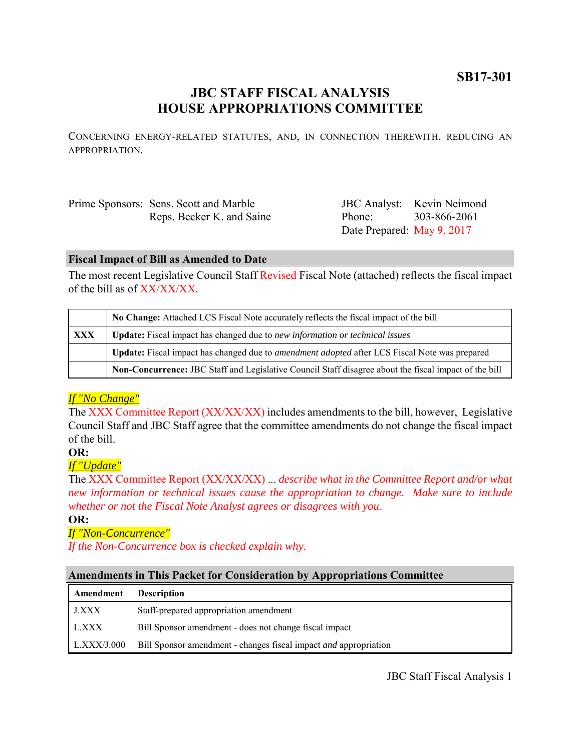# **JBC STAFF FISCAL ANALYSIS HOUSE APPROPRIATIONS COMMITTEE**

CONCERNING ENERGY-RELATED STATUTES, AND, IN CONNECTION THEREWITH, REDUCING AN APPROPRIATION.

| Prime Sponsors: Sens. Scott and Marble |  |
|----------------------------------------|--|
| Reps. Becker K. and Saine              |  |

JBC Analyst: Kevin Neimond Phone: Date Prepared: May 9, 2017 303-866-2061

#### **Fiscal Impact of Bill as Amended to Date**

The most recent Legislative Council Staff Revised Fiscal Note (attached) reflects the fiscal impact of the bill as of  $XX/XX/XX$ .

|     | No Change: Attached LCS Fiscal Note accurately reflects the fiscal impact of the bill                 |  |
|-----|-------------------------------------------------------------------------------------------------------|--|
| XXX | <b>Update:</b> Fiscal impact has changed due to new information or technical issues                   |  |
|     | Update: Fiscal impact has changed due to <i>amendment adopted</i> after LCS Fiscal Note was prepared  |  |
|     | Non-Concurrence: JBC Staff and Legislative Council Staff disagree about the fiscal impact of the bill |  |

# *If "No Change"*

The XXX Committee Report (XX/XX/XX) includes amendments to the bill, however, Legislative Council Staff and JBC Staff agree that the committee amendments do not change the fiscal impact of the bill.

# **OR:**

# *If "Update"*

The XXX Committee Report (XX/XX/XX) ... *describe what in the Committee Report and/or what new information or technical issues cause the appropriation to change. Make sure to include whether or not the Fiscal Note Analyst agrees or disagrees with you.*

#### **OR:**

# *If "Non-Concurrence"*

*If the Non-Concurrence box is checked explain why.* 

### **Amendments in This Packet for Consideration by Appropriations Committee**

| Amendment    | <b>Description</b>                                                      |
|--------------|-------------------------------------------------------------------------|
| <b>J.XXX</b> | Staff-prepared appropriation amendment                                  |
| L.XXX        | Bill Sponsor amendment - does not change fiscal impact                  |
| L.XXX/J.000  | Bill Sponsor amendment - changes fiscal impact <i>and</i> appropriation |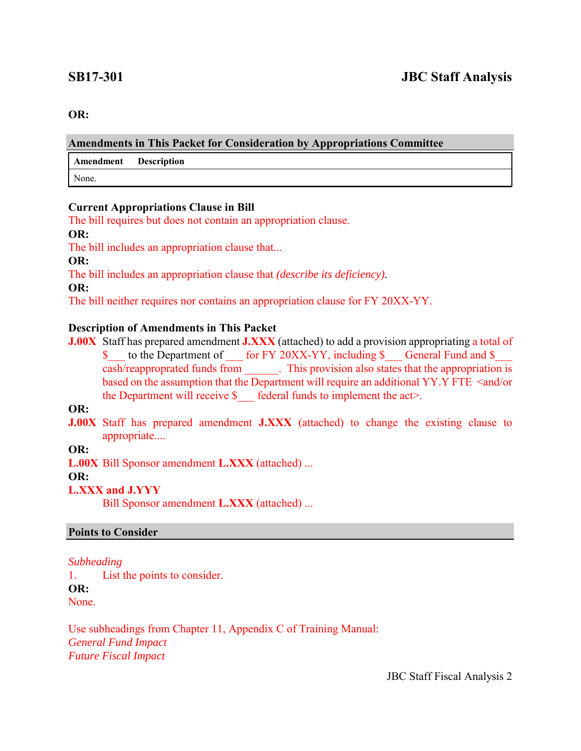#### **OR:**

#### **Amendments in This Packet for Consideration by Appropriations Committee**

**Amendment Description**

None.

#### **Current Appropriations Clause in Bill**

The bill requires but does not contain an appropriation clause.

#### **OR:**

The bill includes an appropriation clause that...

**OR:**

The bill includes an appropriation clause that *(describe its deficiency).*

**OR:**

The bill neither requires nor contains an appropriation clause for FY 20XX-YY.

### **Description of Amendments in This Packet**

**J.00X** Staff has prepared amendment **J.XXX** (attached) to add a provision appropriating a total of \$ to the Department of for FY 20XX-YY, including \$ General Fund and \$ cash/reapproprated funds from . This provision also states that the appropriation is based on the assumption that the Department will require an additional YY.Y FTE <and/or the Department will receive  $\$  federal funds to implement the act>.

**OR:**

**J.00X** Staff has prepared amendment **J.XXX** (attached) to change the existing clause to appropriate....

# **OR:**

**L.00X** Bill Sponsor amendment **L.XXX** (attached) ...

#### **OR:**

# **L.XXX and J.YYY**

Bill Sponsor amendment **L.XXX** (attached) ...

#### **Points to Consider**

#### *Subheading*

1. List the points to consider.

**OR:**

None.

Use subheadings from Chapter 11, Appendix C of Training Manual: *General Fund Impact Future Fiscal Impact*